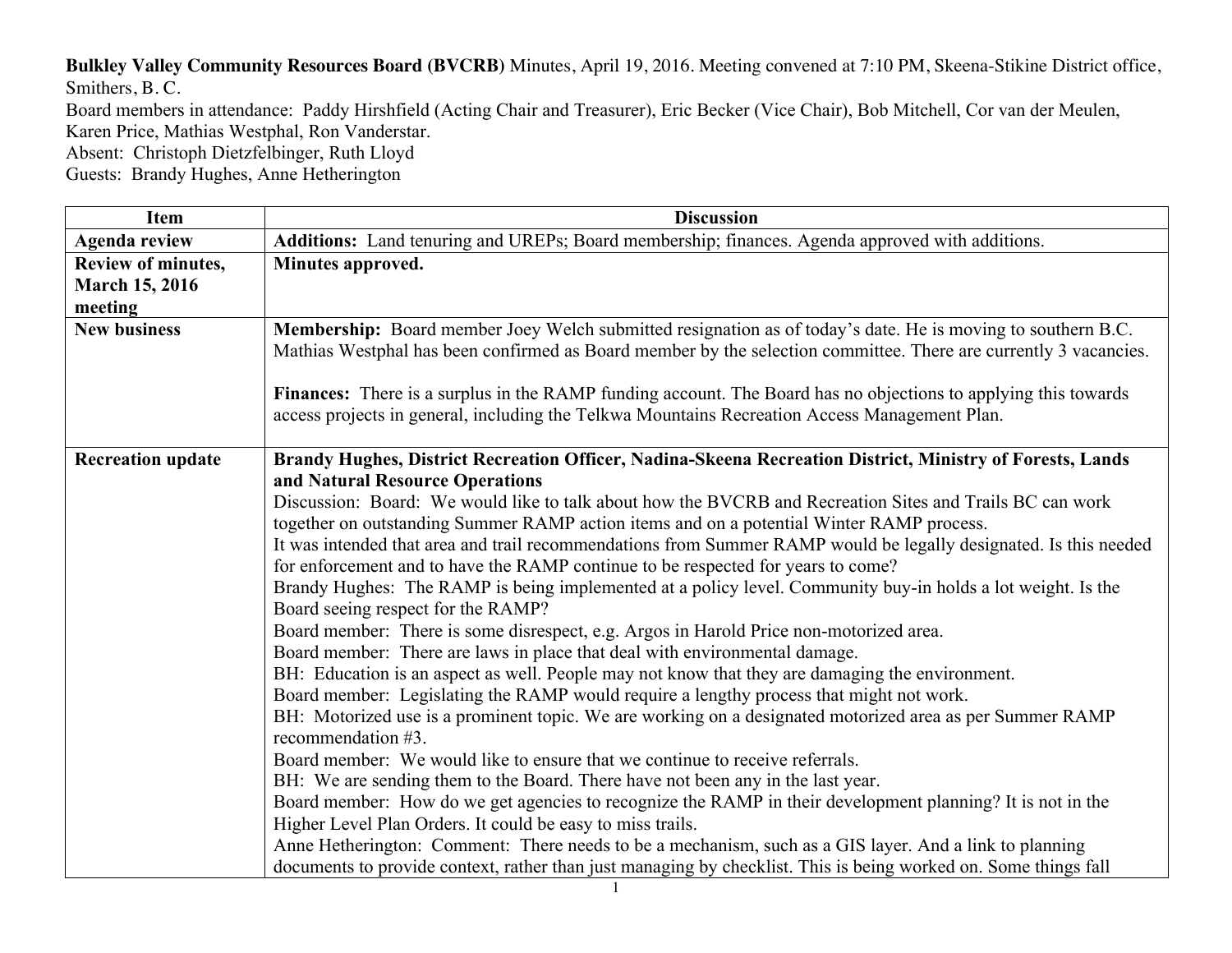**Bulkley Valley Community Resources Board (BVCRB)** Minutes, April 19, 2016. Meeting convened at 7:10 PM, Skeena-Stikine District office, Smithers, B. C.

Board members in attendance: Paddy Hirshfield (Acting Chair and Treasurer), Eric Becker (Vice Chair), Bob Mitchell, Cor van der Meulen, Karen Price, Mathias Westphal, Ron Vanderstar.

Absent: Christoph Dietzfelbinger, Ruth Lloyd

Guests: Brandy Hughes, Anne Hetherington

| <b>Item</b>                                            | <b>Discussion</b>                                                                                                                                                                                                                                                                                                                                                                                                                                                                                                                                                                                                                                                                                                                                                                                                                                                                                                                                                                                                                                                                                                                                                                                                                                                                                                                                                                                                                                                                                                                                                                                                                                                                                                                                                                                     |
|--------------------------------------------------------|-------------------------------------------------------------------------------------------------------------------------------------------------------------------------------------------------------------------------------------------------------------------------------------------------------------------------------------------------------------------------------------------------------------------------------------------------------------------------------------------------------------------------------------------------------------------------------------------------------------------------------------------------------------------------------------------------------------------------------------------------------------------------------------------------------------------------------------------------------------------------------------------------------------------------------------------------------------------------------------------------------------------------------------------------------------------------------------------------------------------------------------------------------------------------------------------------------------------------------------------------------------------------------------------------------------------------------------------------------------------------------------------------------------------------------------------------------------------------------------------------------------------------------------------------------------------------------------------------------------------------------------------------------------------------------------------------------------------------------------------------------------------------------------------------------|
| <b>Agenda review</b>                                   | Additions: Land tenuring and UREPs; Board membership; finances. Agenda approved with additions.                                                                                                                                                                                                                                                                                                                                                                                                                                                                                                                                                                                                                                                                                                                                                                                                                                                                                                                                                                                                                                                                                                                                                                                                                                                                                                                                                                                                                                                                                                                                                                                                                                                                                                       |
| Review of minutes,<br><b>March 15, 2016</b><br>meeting | Minutes approved.                                                                                                                                                                                                                                                                                                                                                                                                                                                                                                                                                                                                                                                                                                                                                                                                                                                                                                                                                                                                                                                                                                                                                                                                                                                                                                                                                                                                                                                                                                                                                                                                                                                                                                                                                                                     |
| <b>New business</b>                                    | Membership: Board member Joey Welch submitted resignation as of today's date. He is moving to southern B.C.<br>Mathias Westphal has been confirmed as Board member by the selection committee. There are currently 3 vacancies.                                                                                                                                                                                                                                                                                                                                                                                                                                                                                                                                                                                                                                                                                                                                                                                                                                                                                                                                                                                                                                                                                                                                                                                                                                                                                                                                                                                                                                                                                                                                                                       |
|                                                        | Finances: There is a surplus in the RAMP funding account. The Board has no objections to applying this towards<br>access projects in general, including the Telkwa Mountains Recreation Access Management Plan.                                                                                                                                                                                                                                                                                                                                                                                                                                                                                                                                                                                                                                                                                                                                                                                                                                                                                                                                                                                                                                                                                                                                                                                                                                                                                                                                                                                                                                                                                                                                                                                       |
| <b>Recreation update</b>                               | Brandy Hughes, District Recreation Officer, Nadina-Skeena Recreation District, Ministry of Forests, Lands<br>and Natural Resource Operations<br>Discussion: Board: We would like to talk about how the BVCRB and Recreation Sites and Trails BC can work<br>together on outstanding Summer RAMP action items and on a potential Winter RAMP process.<br>It was intended that area and trail recommendations from Summer RAMP would be legally designated. Is this needed<br>for enforcement and to have the RAMP continue to be respected for years to come?<br>Brandy Hughes: The RAMP is being implemented at a policy level. Community buy-in holds a lot weight. Is the<br>Board seeing respect for the RAMP?<br>Board member: There is some disrespect, e.g. Argos in Harold Price non-motorized area.<br>Board member: There are laws in place that deal with environmental damage.<br>BH: Education is an aspect as well. People may not know that they are damaging the environment.<br>Board member: Legislating the RAMP would require a lengthy process that might not work.<br>BH: Motorized use is a prominent topic. We are working on a designated motorized area as per Summer RAMP<br>recommendation #3.<br>Board member: We would like to ensure that we continue to receive referrals.<br>BH: We are sending them to the Board. There have not been any in the last year.<br>Board member: How do we get agencies to recognize the RAMP in their development planning? It is not in the<br>Higher Level Plan Orders. It could be easy to miss trails.<br>Anne Hetherington: Comment: There needs to be a mechanism, such as a GIS layer. And a link to planning<br>documents to provide context, rather than just managing by checklist. This is being worked on. Some things fall |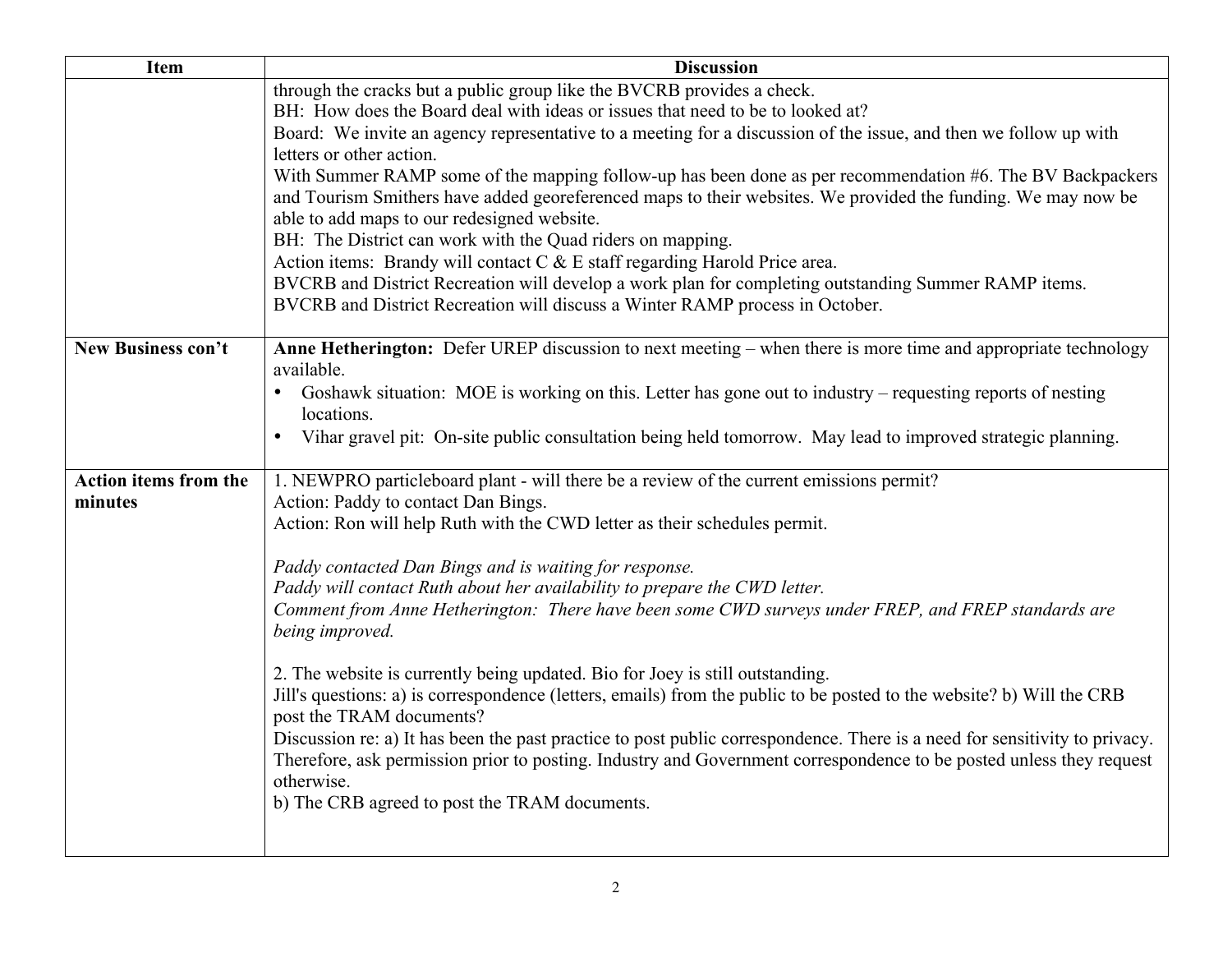| Item                         | <b>Discussion</b>                                                                                                          |
|------------------------------|----------------------------------------------------------------------------------------------------------------------------|
|                              | through the cracks but a public group like the BVCRB provides a check.                                                     |
|                              | BH: How does the Board deal with ideas or issues that need to be to looked at?                                             |
|                              | Board: We invite an agency representative to a meeting for a discussion of the issue, and then we follow up with           |
|                              | letters or other action.                                                                                                   |
|                              | With Summer RAMP some of the mapping follow-up has been done as per recommendation #6. The BV Backpackers                  |
|                              | and Tourism Smithers have added georeferenced maps to their websites. We provided the funding. We may now be               |
|                              | able to add maps to our redesigned website.                                                                                |
|                              | BH: The District can work with the Quad riders on mapping.                                                                 |
|                              | Action items: Brandy will contact $C & E$ staff regarding Harold Price area.                                               |
|                              | BVCRB and District Recreation will develop a work plan for completing outstanding Summer RAMP items.                       |
|                              | BVCRB and District Recreation will discuss a Winter RAMP process in October.                                               |
|                              |                                                                                                                            |
| New Business con't           | Anne Hetherington: Defer UREP discussion to next meeting – when there is more time and appropriate technology              |
|                              | available.                                                                                                                 |
|                              | Goshawk situation: MOE is working on this. Letter has gone out to industry – requesting reports of nesting                 |
|                              | locations.                                                                                                                 |
|                              | Vihar gravel pit: On-site public consultation being held tomorrow. May lead to improved strategic planning.                |
| <b>Action items from the</b> | 1. NEWPRO particleboard plant - will there be a review of the current emissions permit?                                    |
| minutes                      | Action: Paddy to contact Dan Bings.                                                                                        |
|                              | Action: Ron will help Ruth with the CWD letter as their schedules permit.                                                  |
|                              |                                                                                                                            |
|                              | Paddy contacted Dan Bings and is waiting for response.                                                                     |
|                              | Paddy will contact Ruth about her availability to prepare the CWD letter.                                                  |
|                              | Comment from Anne Hetherington: There have been some CWD surveys under FREP, and FREP standards are                        |
|                              | being improved.                                                                                                            |
|                              |                                                                                                                            |
|                              | 2. The website is currently being updated. Bio for Joey is still outstanding.                                              |
|                              | Jill's questions: a) is correspondence (letters, emails) from the public to be posted to the website? b) Will the CRB      |
|                              | post the TRAM documents?                                                                                                   |
|                              | Discussion re: a) It has been the past practice to post public correspondence. There is a need for sensitivity to privacy. |
|                              | Therefore, ask permission prior to posting. Industry and Government correspondence to be posted unless they request        |
|                              | otherwise.                                                                                                                 |
|                              | b) The CRB agreed to post the TRAM documents.                                                                              |
|                              |                                                                                                                            |
|                              |                                                                                                                            |